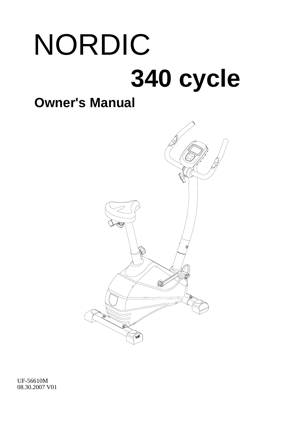# NORDIC **340 cycle**

## **Owner's Manual**



UF-56610M 08.30.2007 V01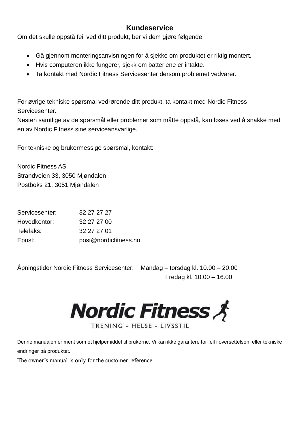## **Kundeservice**

Om det skulle oppstå feil ved ditt produkt, ber vi dem gjøre følgende:

- Gå gjennom monteringsanvisningen for å sjekke om produktet er riktig montert.
- Hvis computeren ikke fungerer, sjekk om batteriene er intakte.
- Ta kontakt med Nordic Fitness Servicesenter dersom problemet vedvarer.

For øvrige tekniske spørsmål vedrørende ditt produkt, ta kontakt med Nordic Fitness Servicesenter.

Nesten samtlige av de spørsmål eller problemer som måtte oppstå, kan løses ved å snakke med en av Nordic Fitness sine serviceansvarlige.

For tekniske og brukermessige spørsmål, kontakt:

Nordic Fitness AS Strandveien 33, 3050 Mjøndalen Postboks 21, 3051 Mjøndalen

| Servicesenter: | 32 27 27 27           |
|----------------|-----------------------|
| Hovedkontor:   | 32 27 27 00           |
| Telefaks:      | 32 27 27 01           |
| Epost:         | post@nordicfitness.no |

Åpningstider Nordic Fitness Servicesenter: Mandag – torsdag kl. 10.00 – 20.00

Fredag kl. 10.00 – 16.00

**Nordic Fitness &** 

TRENING - HELSE - LIVSSTIL

Denne manualen er ment som et hjelpemiddel til brukerne. Vi kan ikke garantere for feil i oversettelsen, eller tekniske endringer på produktet.

The owner's manual is only for the customer reference.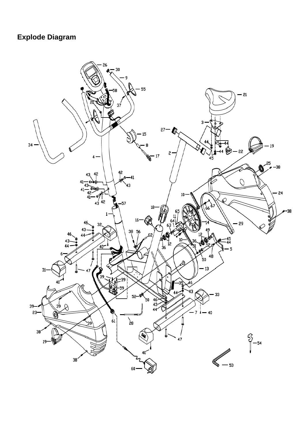## **Explode Diagram**

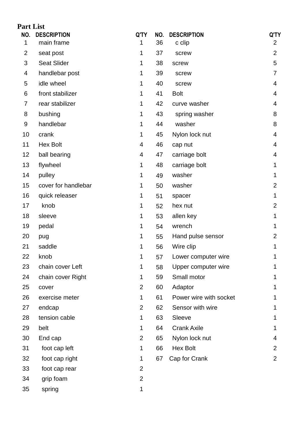| <b>Part List</b> |                     |                |     |                        |                |
|------------------|---------------------|----------------|-----|------------------------|----------------|
| NO.              | <b>DESCRIPTION</b>  | Q'TY           | NO. | <b>DESCRIPTION</b>     | Q'TY           |
| 1                | main frame          | 1              | 36  | c clip                 | $\overline{2}$ |
| $\overline{2}$   | seat post           | 1              | 37  | screw                  | $\overline{2}$ |
| 3                | <b>Seat Slider</b>  | 1              | 38  | screw                  | 5              |
| 4                | handlebar post      | 1              | 39  | screw                  | 7              |
| 5                | idle wheel          | 1              | 40  | screw                  | 4              |
| 6                | front stabilizer    | 1              | 41  | <b>Bolt</b>            | 4              |
| 7                | rear stabilizer     | 1              | 42  | curve washer           | 4              |
| 8                | bushing             | 1              | 43  | spring washer          | 8              |
| 9                | handlebar           | 1              | 44  | washer                 | 8              |
| 10               | crank               | 1              | 45  | Nylon lock nut         | 4              |
| 11               | <b>Hex Bolt</b>     | 4              | 46  | cap nut                | 4              |
| 12               | ball bearing        | 4              | 47  | carriage bolt          | 4              |
| 13               | flywheel            | 1              | 48  | carriage bolt          | 1              |
| 14               | pulley              | 1              | 49  | washer                 | 1              |
| 15               | cover for handlebar | 1              | 50  | washer                 | $\overline{2}$ |
| 16               | quick releaser      | 1              | 51  | spacer                 | 1              |
| 17               | knob                | 1              | 52  | hex nut                | $\overline{2}$ |
| 18               | sleeve              | 1              | 53  | allen key              | 1              |
| 19               | pedal               | 1              | 54  | wrench                 |                |
| 20               | pug                 | 1              | 55  | Hand pulse sensor      | 2              |
| 21               | saddle              | 1              | 56  | Wire clip              | 1              |
| 22               | knob                | 1              | 57  | Lower computer wire    |                |
| 23               | chain cover Left    | 1              | 58  | Upper computer wire    |                |
| 24               | chain cover Right   | 1              | 59  | Small motor            |                |
| 25               | cover               | $\overline{2}$ | 60  | Adaptor                |                |
| 26               | exercise meter      | 1              | 61  | Power wire with socket |                |
| 27               | endcap              | $\overline{2}$ | 62  | Sensor with wire       |                |
| 28               | tension cable       | 1              | 63  | Sleeve                 |                |
| 29               | belt                | 1              | 64  | <b>Crank Axile</b>     |                |
| 30               | End cap             | $\overline{2}$ | 65  | Nylon lock nut         | 4              |
| 31               | foot cap left       | 1              | 66  | <b>Hex Bolt</b>        | 2              |
| 32               | foot cap right      | 1              | 67  | Cap for Crank          | $\overline{2}$ |
| 33               | foot cap rear       | $\overline{2}$ |     |                        |                |
| 34               | grip foam           | $\overline{2}$ |     |                        |                |
| 35               | spring              | 1              |     |                        |                |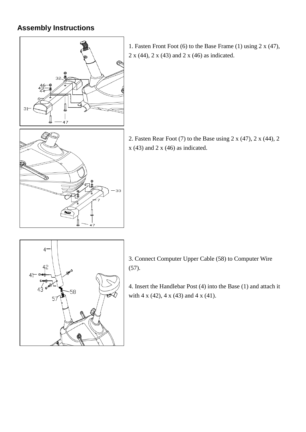## **Assembly Instructions**



1. Fasten Front Foot (6) to the Base Frame (1) using 2 x (47), 2 x (44), 2 x (43) and 2 x (46) as indicated.

2. Fasten Rear Foot (7) to the Base using 2 x (47), 2 x (44), 2  $x$  (43) and 2  $x$  (46) as indicated.



33

3. Connect Computer Upper Cable (58) to Computer Wire (57).

4. Insert the Handlebar Post (4) into the Base (1) and attach it with 4 x (42), 4 x (43) and 4 x (41).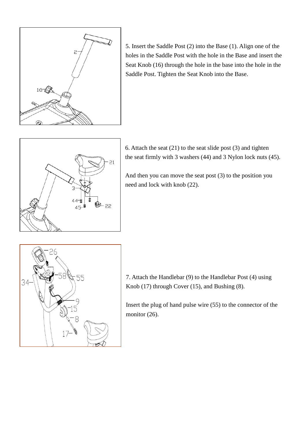

5. Insert the Saddle Post (2) into the Base (1). Align one of the holes in the Saddle Post with the hole in the Base and insert the Seat Knob (16) through the hole in the base into the hole in the Saddle Post. Tighten the Seat Knob into the Base.



6. Attach the seat (21) to the seat slide post (3) and tighten the seat firmly with 3 washers (44) and 3 Nylon lock nuts (45).

And then you can move the seat post (3) to the position you need and lock with knob (22).



7. Attach the Handlebar (9) to the Handlebar Post (4) using Knob (17) through Cover (15), and Bushing (8).

Insert the plug of hand pulse wire (55) to the connector of the monitor  $(26)$ .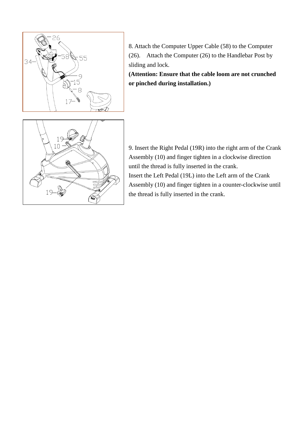

8. Attach the Computer Upper Cable (58) to the Computer (26). Attach the Computer (26) to the Handlebar Post by sliding and lock.

**(Attention: Ensure that the cable loom are not crunched or pinched during installation.)**

9. Insert the Right Pedal (19R) into the right arm of the Crank Assembly (10) and finger tighten in a clockwise direction until the thread is fully inserted in the crank. Insert the Left Pedal (19L) into the Left arm of the Crank Assembly (10) and finger tighten in a counter-clockwise until the thread is fully inserted in the crank.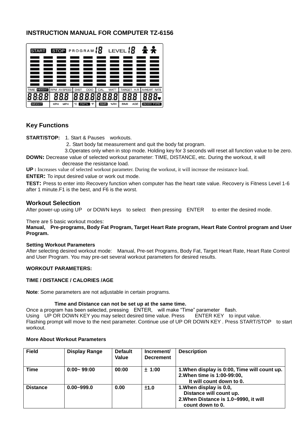### **INSTRUCTION MANUAL FOR COMPUTER TZ-6156**



### **Key Functions**

**START/STOP:** 1. Start & Pauses workouts.

2. Start body fat measurement and quit the body fat program.

3.Operates only when in stop mode. Holding key for 3 seconds will reset all function value to be zero.

**DOWN:** Decrease value of selected workout parameter: TIME, DISTANCE, etc. During the workout, it will decrease the resistance load.

**UP :** Increases value of selected workout parameter. During the workout, it will increase the resistance load.

**ENTER:** To input desired value or work out mode.

**TEST:** Press to enter into Recovery function when computer has the heart rate value. Recovery is Fitness Level 1-6 after 1 minute.F1 is the best, and F6 is the worst.

#### **Workout Selection**

After power-up using UP or DOWN keys to select then pressing ENTER to enter the desired mode.

There are 5 basic workout modes:

**Manual, Pre-programs, Body Fat Program, Target Heart Rate program, Heart Rate Control program and User Program.**

#### **Setting Workout Parameters**

After selecting desired workout mode: Manual, Pre-set Programs, Body Fat, Target Heart Rate, Heart Rate Control and User Program. You may pre-set several workout parameters for desired results.

#### **WORKOUT PARAMETERS:**

#### **TIME / DISTANCE / CALORIES /AGE**

**Note**: Some parameters are not adjustable in certain programs.

#### **Time and Distance can not be set up at the same time.**

Once a program has been selected, pressing ENTER, will make "Time" parameter flash. Using UP OR DOWN KEY you may select desired time value. Press ENTER KEY to input value. Flashing prompt will move to the next parameter. Continue use of UP OR DOWN KEY. Press START/STOP to start workout.

#### **More About Workout Parameters**

| <b>Field</b>    | <b>Display Range</b> | <b>Default</b><br>Value | Increment/<br><b>Decrement</b> | <b>Description</b>                                                                                              |
|-----------------|----------------------|-------------------------|--------------------------------|-----------------------------------------------------------------------------------------------------------------|
| Time            | $0:00 - 99:00$       | 00:00                   | ± 1:00                         | 1. When display is 0:00, Time will count up.<br>2. When time is 1:00-99:00,<br>It will count down to 0.         |
| <b>Distance</b> | $0.00 - 999.0$       | 0.00                    | ±1.0                           | 1. When display is 0.0,<br>Distance will count up.<br>2. When Distance is 1.0~9990, it will<br>count down to 0. |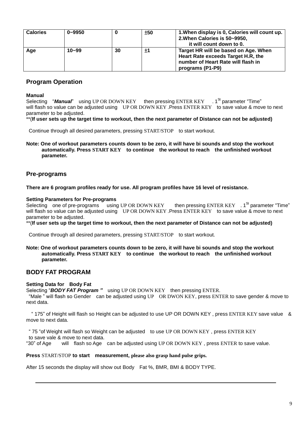| <b>Calories</b> | $0 - 9950$ |    | ±50 | 1. When display is 0, Calories will count up.<br>2. When Calories is 50~9950,<br>it will count down to 0.                            |
|-----------------|------------|----|-----|--------------------------------------------------------------------------------------------------------------------------------------|
| Age             | $10 - 99$  | 30 | ±1  | Target HR will be based on Age. When<br>Heart Rate exceeds Target H.R. the<br>number of Heart Rate will flash in<br>programs (P1-P9) |

#### **Program Operation**

#### **Manual**

Selecting "Manual" using UP OR DOWN KEY then pressing ENTER KEY <sup>St</sup> parameter "Time" will flash so value can be adjusted using UP OR DOWN KEY .Press ENTER KEY to save value & move to next parameter to be adjusted.

\*\*(**If user sets up the target time to workout, then the next parameter of Distance can not be adjusted)**

Continue through all desired parameters, pressing START/STOP to start workout.

**Note: One of workout parameters counts down to be zero, it will have bi sounds and stop the workout automatically. Press START KEY to continue the workout to reach the unfinished workout parameter.**

#### **Pre-programs**

**There are 6 program profiles ready for use. All program profiles have 16 level of resistance.**

**Setting Parameters for Pre-programs<br>Selecting one of pre-programs using UP OR DOWN KEY** Selecting one of pre-programs using UP OR DOWN KEY then pressing ENTER KEY . 1<sup>St</sup> parameter "Time" will flash so value can be adjusted using UP OR DOWN KEY .Press ENTER KEY to save value & move to next parameter to be adjusted.

\*\*(**If user sets up the target time to workout, then the next parameter of Distance can not be adjusted)**

Continue through all desired parameters, pressing START/STOP to start workout.

#### **Note: One of workout parameters counts down to be zero, it will have bi sounds and stop the workout automatically. Press START KEY to continue the workout to reach the unfinished workout parameter.**

#### **BODY FAT PROGRAM**

#### **Setting Data for Body Fat**

Selecting "*BODY FAT Program "* using UP OR DOWN KEY then pressing ENTER.

"Male " will flash so Gender can be adjusted using UP OR DWON KEY, press ENTER to save gender & move to next data.

 " 175" of Height will flash so Height can be adjusted to use UP OR DOWN KEY , press ENTER KEY save value & move to next data.

" 75 "of Weight will flash so Weight can be adjusted to use UP OR DOWN KEY , press ENTER KEY to save vale & move to next data.

"30" of Age will flash so Age can be adjusted using UP OR DOWN KEY , press ENTER to save value.

#### **Press** START/STOP **to start measurement, please also grasp hand pulse grips.**

After 15 seconds the display will show out Body Fat %, BMR, BMI & BODY TYPE.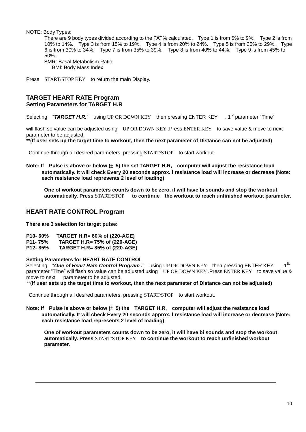NOTE: Body Types:

There are 9 body types divided according to the FAT% calculated. Type 1 is from 5% to 9%. Type 2 is from 10% to 14%. Type 3 is from 15% to 19%. Type 4 is from 20% to 24%. Type 5 is from 25% to 29%. Type 6 is from 30% to 34%. Type 7 is from 35% to 39%. Type 8 is from 40% to 44%. Type 9 is from 45% to 50%. BMR: Basal Metabolism Ratio BMI: Body Mass Index

Press START/STOP KEY to return the main Display.

#### **TARGET HEART RATE Program Setting Parameters for TARGET H.R**

Selecting "**TARGET H.R.**" using UP OR DOWN KEY then pressing ENTER KEY . 1<sup>St</sup> parameter "Time"

will flash so value can be adjusted using UP OR DOWN KEY .Press ENTER KEY to save value & move to next parameter to be adjusted.

\*\*(**If user sets up the target time to workout, then the next parameter of Distance can not be adjusted)**

Continue through all desired parameters, pressing START/STOP to start workout.

**Note: If Pulse is above or below (**± **5) the set TARGET H.R, computer will adjust the resistance load automatically. It will check Every 20 seconds approx. l resistance load will increase or decrease (Note: each resistance load represents 2 level of loading)**

**One of workout parameters counts down to be zero, it will have bi sounds and stop the workout automatically. Press** START/STOP **to continue the workout to reach unfinished workout parameter.**

#### **HEART RATE CONTROL Program**

**There are 3 selection for target pulse:**

| P10-60% | TARGET H.R= 60% of (220-AGE) |  |  |
|---------|------------------------------|--|--|
|---------|------------------------------|--|--|

- **P11- 75% TARGET H.R= 75% of (220-AGE)**
- **P12- 85% TARGET H.R= 85% of (220-AGE)**

#### **Setting Parameters for HEART RATE CONTROL**

Selecting "One of Heart Rate Control Program ." using UP OR DOWN KEY then pressing ENTER KEY  $1^{\rm St}$ parameter "Time" will flash so value can be adjusted using UP OR DOWN KEY .Press ENTER KEY to save value & move to next parameter to be adjusted.

\*\*(**If user sets up the target time to workout, then the next parameter of Distance can not be adjusted)**

Continue through all desired parameters, pressing START/STOP to start workout.

**Note: If Pulse is above or below (**± **5) the TARGET H.R, computer will adjust the resistance load automatically. It will check Every 20 seconds approx. l resistance load will increase or decrease (Note: each resistance load represents 2 level of loading)**

**One of workout parameters counts down to be zero, it will have bi sounds and stop the workout automatically. Press** START/STOP KEY **to continue the workout to reach unfinished workout parameter.**